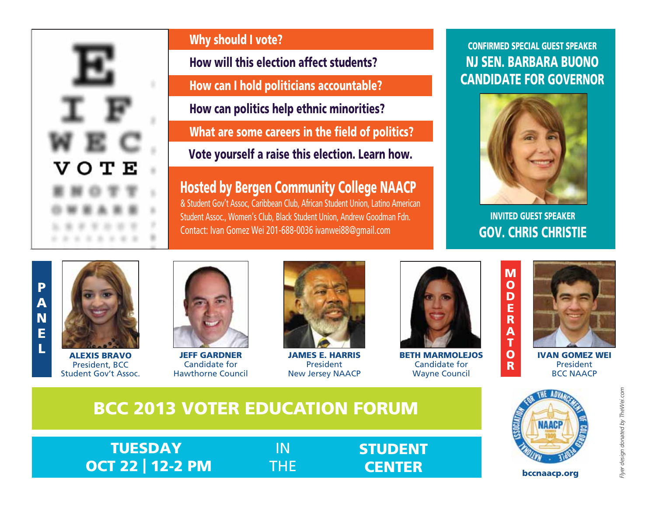

# Why should I vote?

How will this election affect students?

How can I hold politicians accountable?

How can politics help ethnic minorities?

What are some careers in the field of politics?

Vote yourself a raise this election. Learn how.

Hosted by Bergen Community College NAACP

& Student Gov't Assoc, Caribbean Club, African Student Union, Latino American Student Assoc., Women's Club, Black Student Union, Andrew Goodman Fdn. Contact: Ivan Gomez Wei 201-688-0036 ivanwei88@gmail.com

## CONFIRMED SPECIAL GUEST SPEAKER NJ SEN. BARBARA BUONO CANDIDATE FOR GOVERNOR



INVITED GUEST SPEAKER GOV. CHRIS CHRISTIE





ALEXIS BRAVO President, BCC Student Gov't Assoc.



Candidate for Hawthorne Council



JAMES E. HARRIS President New Jersey NAACP



BETH MARMOLEJOS Candidate for Wayne Council



IVAN GOMEZ WEI President BCC NAACP

# BCC 2013 VOTER EDUCATION FORUM